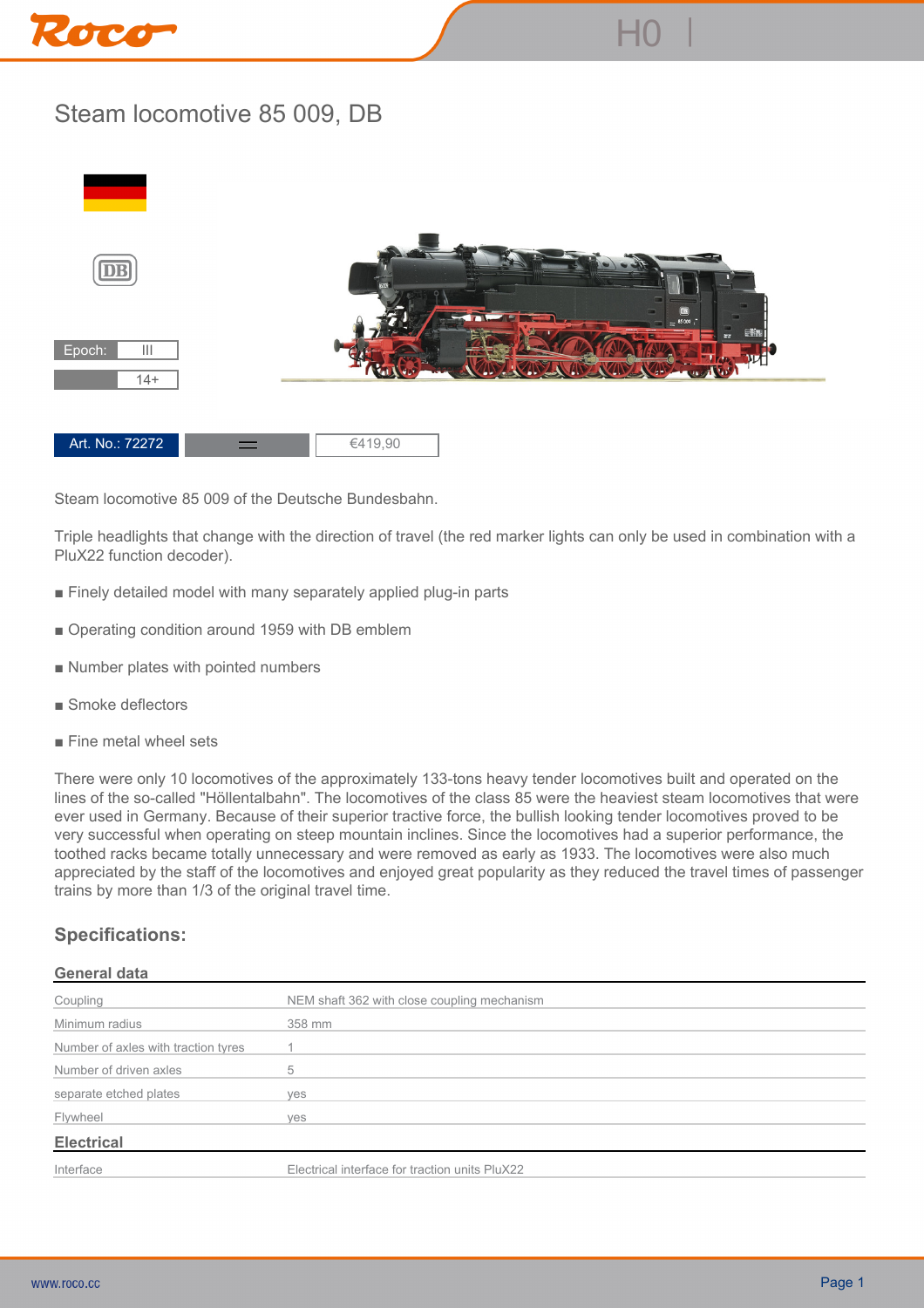

## **Steam locomotive 85 009, DB**



**Steam locomotive 85 009 of the Deutsche Bundesbahn.**

**Triple headlights that change with the direction of travel (the red marker lights can only be used in combination with a PluX22 function decoder).**

- **Finely detailed model with many separately applied plug-in parts**
- **Operating condition around 1959 with DB emblem**
- **Number plates with pointed numbers**
- **Smoke deflectors**
- **Fine metal wheel sets**

**There were only 10 locomotives of the approximately 133-tons heavy tender locomotives built and operated on the lines of the so-called "Höllentalbahn". The locomotives of the class 85 were the heaviest steam locomotives that were ever used in Germany. Because of their superior tractive force, the bullish looking tender locomotives proved to be very successful when operating on steep mountain inclines. Since the locomotives had a superior performance, the toothed racks became totally unnecessary and were removed as early as 1933. The locomotives were also much appreciated by the staff of the locomotives and enjoyed great popularity as they reduced the travel times of passenger trains by more than 1/3 of the original travel time.**

## **Specifications:**

|--|

| Coupling                            | NEM shaft 362 with close coupling mechanism    |
|-------------------------------------|------------------------------------------------|
| Minimum radius                      | 358 mm                                         |
| Number of axles with traction tyres |                                                |
| Number of driven axles              | 5                                              |
| separate etched plates              | ves                                            |
| Flywheel                            | ves                                            |
| <b>Electrical</b>                   |                                                |
| Interface                           | Electrical interface for traction units PluX22 |